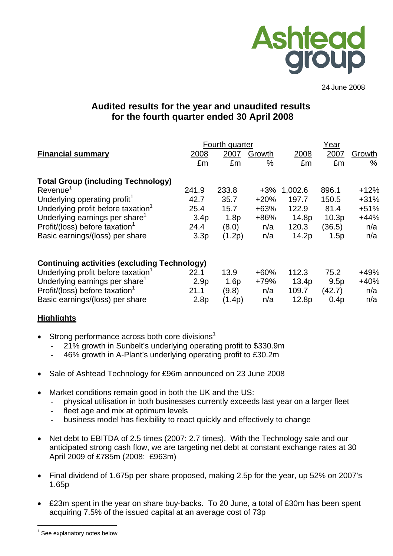

24 June 2008

# **Audited results for the year and unaudited results for the fourth quarter ended 30 April 2008**

|                                                     |                  | Fourth quarter |               |         | Year   |        |
|-----------------------------------------------------|------------------|----------------|---------------|---------|--------|--------|
| <b>Financial summary</b>                            | 2008             | 2007           | Growth        | 2008    | 2007   | Growth |
|                                                     | £m               | £m             | $\frac{0}{0}$ | £m      | £m     | %      |
| <b>Total Group (including Technology)</b>           |                  |                |               |         |        |        |
| $Re$ venue <sup>1</sup>                             | 241.9            | 233.8          | $+3%$         | 1,002.6 | 896.1  | $+12%$ |
| Underlying operating profit <sup>1</sup>            | 42.7             | 35.7           | $+20%$        | 197.7   | 150.5  | $+31%$ |
| Underlying profit before taxation <sup>1</sup>      | 25.4             | 15.7           | $+63%$        | 122.9   | 81.4   | $+51%$ |
| Underlying earnings per share <sup>1</sup>          | 3.4 <sub>p</sub> | 1.8p           | +86%          | 14.8p   | 10.3p  | $+44%$ |
| Profit/(loss) before taxation <sup>1</sup>          | 24.4             | (8.0)          | n/a           | 120.3   | (36.5) | n/a    |
| Basic earnings/(loss) per share                     | 3.3 <sub>p</sub> | (1.2p)         | n/a           | 14.2p   | 1.5p   | n/a    |
| <b>Continuing activities (excluding Technology)</b> |                  |                |               |         |        |        |
| Underlying profit before taxation <sup>1</sup>      | 22.1             | 13.9           | $+60%$        | 112.3   | 75.2   | +49%   |
| Underlying earnings per share <sup>1</sup>          | 2.9 <sub>p</sub> | 1.6p           | +79%          | 13.4p   | 9.5p   | $+40%$ |
| Profit/(loss) before taxation <sup>1</sup>          | 21.1             | (9.8)          | n/a           | 109.7   | (42.7) | n/a    |
| Basic earnings/(loss) per share                     | 2.8 <sub>p</sub> | (1.4p)         | n/a           | 12.8p   | 0.4p   | n/a    |

## **Highlights**

- Strong performance across both core divisions<sup>1</sup>
	- 21% growth in Sunbelt's underlying operating profit to \$330.9m
	- 46% growth in A-Plant's underlying operating profit to £30.2m
- Sale of Ashtead Technology for £96m announced on 23 June 2008
- Market conditions remain good in both the UK and the US:
	- physical utilisation in both businesses currently exceeds last year on a larger fleet
	- fleet age and mix at optimum levels
	- business model has flexibility to react quickly and effectively to change
- Net debt to EBITDA of 2.5 times (2007: 2.7 times). With the Technology sale and our anticipated strong cash flow, we are targeting net debt at constant exchange rates at 30 April 2009 of £785m (2008: £963m)
- Final dividend of 1.675p per share proposed, making 2.5p for the year, up 52% on 2007's 1.65p
- £23m spent in the year on share buy-backs. To 20 June, a total of £30m has been spent acquiring 7.5% of the issued capital at an average cost of 73p

\_\_\_\_\_\_\_\_\_\_\_\_\_\_\_\_\_\_  $<sup>1</sup>$  See explanatory notes below</sup>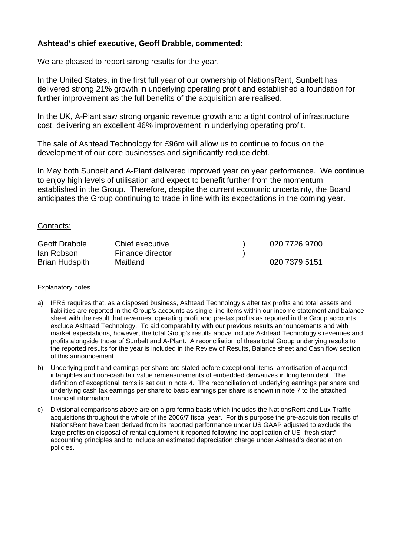# **Ashtead's chief executive, Geoff Drabble, commented:**

We are pleased to report strong results for the year.

In the United States, in the first full year of our ownership of NationsRent, Sunbelt has delivered strong 21% growth in underlying operating profit and established a foundation for further improvement as the full benefits of the acquisition are realised.

In the UK, A-Plant saw strong organic revenue growth and a tight control of infrastructure cost, delivering an excellent 46% improvement in underlying operating profit.

The sale of Ashtead Technology for £96m will allow us to continue to focus on the development of our core businesses and significantly reduce debt.

In May both Sunbelt and A-Plant delivered improved year on year performance. We continue to enjoy high levels of utilisation and expect to benefit further from the momentum established in the Group. Therefore, despite the current economic uncertainty, the Board anticipates the Group continuing to trade in line with its expectations in the coming year.

#### Contacts:

| <b>Geoff Drabble</b>  | Chief executive  | 020 7726 9700 |
|-----------------------|------------------|---------------|
| lan Robson            | Finance director |               |
| <b>Brian Hudspith</b> | Maitland         | 020 7379 5151 |

#### Explanatory notes

- a) IFRS requires that, as a disposed business, Ashtead Technology's after tax profits and total assets and liabilities are reported in the Group's accounts as single line items within our income statement and balance sheet with the result that revenues, operating profit and pre-tax profits as reported in the Group accounts exclude Ashtead Technology. To aid comparability with our previous results announcements and with market expectations, however, the total Group's results above include Ashtead Technology's revenues and profits alongside those of Sunbelt and A-Plant. A reconciliation of these total Group underlying results to the reported results for the year is included in the Review of Results, Balance sheet and Cash flow section of this announcement.
- b) Underlying profit and earnings per share are stated before exceptional items, amortisation of acquired intangibles and non-cash fair value remeasurements of embedded derivatives in long term debt. The definition of exceptional items is set out in note 4. The reconciliation of underlying earnings per share and underlying cash tax earnings per share to basic earnings per share is shown in note 7 to the attached financial information.
- c) Divisional comparisons above are on a pro forma basis which includes the NationsRent and Lux Traffic acquisitions throughout the whole of the 2006/7 fiscal year. For this purpose the pre-acquisition results of NationsRent have been derived from its reported performance under US GAAP adjusted to exclude the large profits on disposal of rental equipment it reported following the application of US "fresh start" accounting principles and to include an estimated depreciation charge under Ashtead's depreciation policies.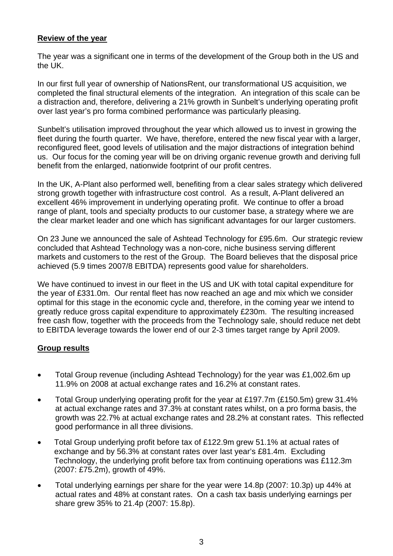# **Review of the year**

The year was a significant one in terms of the development of the Group both in the US and the UK.

In our first full year of ownership of NationsRent, our transformational US acquisition, we completed the final structural elements of the integration. An integration of this scale can be a distraction and, therefore, delivering a 21% growth in Sunbelt's underlying operating profit over last year's pro forma combined performance was particularly pleasing.

Sunbelt's utilisation improved throughout the year which allowed us to invest in growing the fleet during the fourth quarter. We have, therefore, entered the new fiscal year with a larger, reconfigured fleet, good levels of utilisation and the major distractions of integration behind us. Our focus for the coming year will be on driving organic revenue growth and deriving full benefit from the enlarged, nationwide footprint of our profit centres.

In the UK, A-Plant also performed well, benefiting from a clear sales strategy which delivered strong growth together with infrastructure cost control. As a result, A-Plant delivered an excellent 46% improvement in underlying operating profit. We continue to offer a broad range of plant, tools and specialty products to our customer base, a strategy where we are the clear market leader and one which has significant advantages for our larger customers.

On 23 June we announced the sale of Ashtead Technology for £95.6m. Our strategic review concluded that Ashtead Technology was a non-core, niche business serving different markets and customers to the rest of the Group. The Board believes that the disposal price achieved (5.9 times 2007/8 EBITDA) represents good value for shareholders.

We have continued to invest in our fleet in the US and UK with total capital expenditure for the year of £331.0m. Our rental fleet has now reached an age and mix which we consider optimal for this stage in the economic cycle and, therefore, in the coming year we intend to greatly reduce gross capital expenditure to approximately £230m. The resulting increased free cash flow, together with the proceeds from the Technology sale, should reduce net debt to EBITDA leverage towards the lower end of our 2-3 times target range by April 2009.

## **Group results**

- Total Group revenue (including Ashtead Technology) for the year was £1,002.6m up 11.9% on 2008 at actual exchange rates and 16.2% at constant rates.
- Total Group underlying operating profit for the year at £197.7m (£150.5m) grew 31.4% at actual exchange rates and 37.3% at constant rates whilst, on a pro forma basis, the growth was 22.7% at actual exchange rates and 28.2% at constant rates. This reflected good performance in all three divisions.
- Total Group underlying profit before tax of £122.9m grew 51.1% at actual rates of exchange and by 56.3% at constant rates over last year's £81.4m. Excluding Technology, the underlying profit before tax from continuing operations was £112.3m (2007: £75.2m), growth of 49%.
- Total underlying earnings per share for the year were 14.8p (2007: 10.3p) up 44% at actual rates and 48% at constant rates. On a cash tax basis underlying earnings per share grew 35% to 21.4p (2007: 15.8p).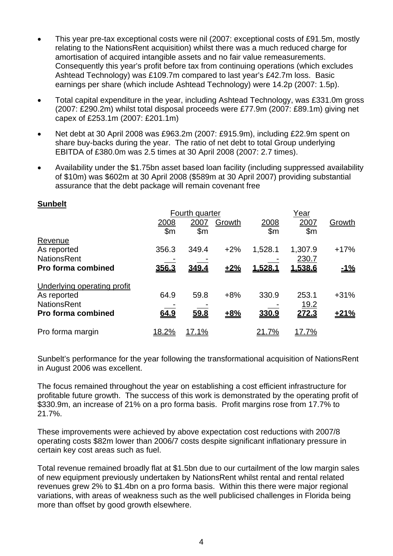- This year pre-tax exceptional costs were nil (2007: exceptional costs of £91.5m, mostly relating to the NationsRent acquisition) whilst there was a much reduced charge for amortisation of acquired intangible assets and no fair value remeasurements. Consequently this year's profit before tax from continuing operations (which excludes Ashtead Technology) was £109.7m compared to last year's £42.7m loss. Basic earnings per share (which include Ashtead Technology) were 14.2p (2007: 1.5p).
- Total capital expenditure in the year, including Ashtead Technology, was £331.0m gross (2007: £290.2m) whilst total disposal proceeds were £77.9m (2007: £89.1m) giving net capex of £253.1m (2007: £201.1m)
- Net debt at 30 April 2008 was £963.2m (2007: £915.9m), including £22.9m spent on share buy-backs during the year. The ratio of net debt to total Group underlying EBITDA of £380.0m was 2.5 times at 30 April 2008 (2007: 2.7 times).
- Availability under the \$1.75bn asset based loan facility (including suppressed availability of \$10m) was \$602m at 30 April 2008 (\$589m at 30 April 2007) providing substantial assurance that the debt package will remain covenant free

|                                    | Fourth quarter     |                       |        |                |                               |            |
|------------------------------------|--------------------|-----------------------|--------|----------------|-------------------------------|------------|
|                                    | <u>2008</u><br>\$m | 2007<br>$\mathsf{Sm}$ | Growth | 2008<br>\$m    | Year<br>2007<br>$\mathsf{Sm}$ | Growth     |
| Revenue                            |                    |                       |        |                |                               |            |
| As reported                        | 356.3              | 349.4                 | $+2%$  | 1,528.1        | 1,307.9                       | $+17%$     |
| <b>NationsRent</b>                 |                    |                       |        |                | 230.7                         |            |
| <b>Pro forma combined</b>          | 356.3              | 349.4                 | $+2%$  | <u>1.528.1</u> | 1,538.6                       | <u>-1%</u> |
| <b>Underlying operating profit</b> |                    |                       |        |                |                               |            |
| As reported                        | 64.9               | 59.8                  | $+8%$  | 330.9          | 253.1                         | $+31%$     |
| <b>NationsRent</b>                 |                    |                       |        |                | <u>19.2</u>                   |            |
| <b>Pro forma combined</b>          | 64.9               | 59.8                  | $+8%$  | 330.9          | 272.3                         | $+21%$     |
| Pro forma margin                   | <u> 18.2%</u>      | <u>17.1%</u>          |        | 21.7%          | 17.7%                         |            |

### Sunbelt's performance for the year following the transformational acquisition of NationsRent in August 2006 was excellent.

The focus remained throughout the year on establishing a cost efficient infrastructure for profitable future growth. The success of this work is demonstrated by the operating profit of \$330.9m, an increase of 21% on a pro forma basis. Profit margins rose from 17.7% to 21.7%.

These improvements were achieved by above expectation cost reductions with 2007/8 operating costs \$82m lower than 2006/7 costs despite significant inflationary pressure in certain key cost areas such as fuel.

Total revenue remained broadly flat at \$1.5bn due to our curtailment of the low margin sales of new equipment previously undertaken by NationsRent whilst rental and rental related revenues grew 2% to \$1.4bn on a pro forma basis. Within this there were major regional variations, with areas of weakness such as the well publicised challenges in Florida being more than offset by good growth elsewhere.

# **Sunbelt**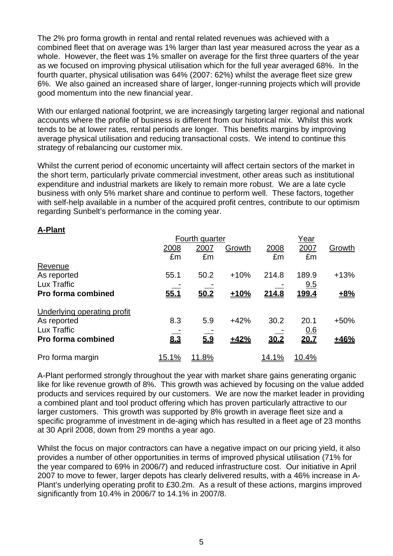The 2% pro forma growth in rental and rental related revenues was achieved with a combined fleet that on average was 1% larger than last year measured across the year as a whole. However, the fleet was 1% smaller on average for the first three quarters of the year as we focused on improving physical utilisation which for the full year averaged 68%. In the fourth quarter, physical utilisation was 64% (2007: 62%) whilst the average fleet size grew 6%. We also gained an increased share of larger, longer-running projects which will provide good momentum into the new financial year.

With our enlarged national footprint, we are increasingly targeting larger regional and national accounts where the profile of business is different from our historical mix. Whilst this work tends to be at lower rates, rental periods are longer. This benefits margins by improving average physical utilisation and reducing transactional costs. We intend to continue this strategy of rebalancing our customer mix.

Whilst the current period of economic uncertainty will affect certain sectors of the market in the short term, particularly private commercial investment, other areas such as institutional expenditure and industrial markets are likely to remain more robust. We are a late cycle business with only 5% market share and continue to perform well. These factors, together with self-help available in a number of the acquired profit centres, contribute to our optimism regarding Sunbelt's performance in the coming year.

# **A-Plant**

|                                    |              | Fourth quarter |        |              | Year          |        |  |
|------------------------------------|--------------|----------------|--------|--------------|---------------|--------|--|
|                                    | 2008         | 2007           | Growth | 2008         | 2007          | Growth |  |
|                                    | £m           | £m             |        | £m           | £m            |        |  |
| Revenue                            |              |                |        |              |               |        |  |
| As reported                        | 55.1         | 50.2           | $+10%$ | 214.8        | 189.9         | $+13%$ |  |
| Lux Traffic                        |              |                |        |              | 9.5           |        |  |
| <b>Pro forma combined</b>          | 55.1         | 50.2           | $+10%$ | 214.8        | 199.4         | $+8%$  |  |
| <b>Underlying operating profit</b> |              |                |        |              |               |        |  |
| As reported                        | 8.3          | 5.9            | $+42%$ | 30.2         | 20.1          | $+50%$ |  |
| Lux Traffic                        |              |                |        |              | <u>0.6</u>    |        |  |
| <b>Pro forma combined</b>          | 8.3          | 5.9            | ±42%   | 30.2         | 20.7          | ±46%   |  |
| Pro forma margin                   | <u>15.1%</u> | <u> 11.8%</u>  |        | <u>14.1%</u> | <u> 10.4%</u> |        |  |

A-Plant performed strongly throughout the year with market share gains generating organic like for like revenue growth of 8%. This growth was achieved by focusing on the value added products and services required by our customers. We are now the market leader in providing a combined plant and tool product offering which has proven particularly attractive to our larger customers. This growth was supported by 8% growth in average fleet size and a specific programme of investment in de-aging which has resulted in a fleet age of 23 months at 30 April 2008, down from 29 months a year ago.

Whilst the focus on major contractors can have a negative impact on our pricing yield, it also provides a number of other opportunities in terms of improved physical utilisation (71% for the year compared to 69% in 2006/7) and reduced infrastructure cost. Our initiative in April 2007 to move to fewer, larger depots has clearly delivered results, with a 46% increase in A-Plant's underlying operating profit to £30.2m. As a result of these actions, margins improved significantly from 10.4% in 2006/7 to 14.1% in 2007/8.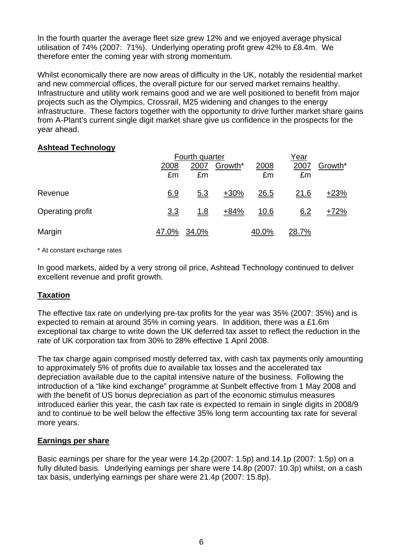In the fourth quarter the average fleet size grew 12% and we enjoyed average physical utilisation of 74% (2007: 71%). Underlying operating profit grew 42% to £8.4m. We therefore enter the coming year with strong momentum.

Whilst economically there are now areas of difficulty in the UK, notably the residential market and new commercial offices, the overall picture for our served market remains healthy. Infrastructure and utility work remains good and we are well positioned to benefit from major projects such as the Olympics, Crossrail, M25 widening and changes to the energy infrastructure. These factors together with the opportunity to drive further market share gains from A-Plant's current single digit market share give us confidence in the prospects for the year ahead.

# **Ashtead Technology**

|                  |            | Fourth quarter |         |             |              | Year    |  |  |
|------------------|------------|----------------|---------|-------------|--------------|---------|--|--|
|                  | 2008<br>£m | 2007<br>£m     | Growth* | 2008<br>£m  | 2007<br>£m   | Growth* |  |  |
| Revenue          | 6.9        | <u>5.3</u>     | $+30%$  | <u>26.5</u> | <u>21.6</u>  | $+23%$  |  |  |
| Operating profit | <u>3.3</u> | <u>1.8</u>     | $+84%$  | <u>10.6</u> | 6.2          | $+72%$  |  |  |
| Margin           | 47.0%      | 34.0%          |         | 40.0%       | <u>28.7%</u> |         |  |  |

\* At constant exchange rates

In good markets, aided by a very strong oil price, Ashtead Technology continued to deliver excellent revenue and profit growth.

# **Taxation**

The effective tax rate on underlying pre-tax profits for the year was 35% (2007: 35%) and is expected to remain at around 35% in coming years. In addition, there was a £1.6m exceptional tax charge to write down the UK deferred tax asset to reflect the reduction in the rate of UK corporation tax from 30% to 28% effective 1 April 2008.

The tax charge again comprised mostly deferred tax, with cash tax payments only amounting to approximately 5% of profits due to available tax losses and the accelerated tax depreciation available due to the capital intensive nature of the business. Following the introduction of a "like kind exchange" programme at Sunbelt effective from 1 May 2008 and with the benefit of US bonus depreciation as part of the economic stimulus measures introduced earlier this year, the cash tax rate is expected to remain in single digits in 2008/9 and to continue to be well below the effective 35% long term accounting tax rate for several more years.

## **Earnings per share**

Basic earnings per share for the year were 14.2p (2007: 1.5p) and 14.1p (2007: 1.5p) on a fully diluted basis. Underlying earnings per share were 14.8p (2007: 10.3p) whilst, on a cash tax basis, underlying earnings per share were 21.4p (2007: 15.8p).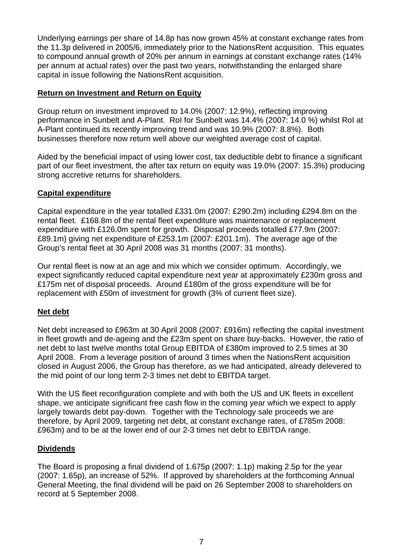Underlying earnings per share of 14.8p has now grown 45% at constant exchange rates from the 11.3p delivered in 2005/6, immediately prior to the NationsRent acquisition. This equates to compound annual growth of 20% per annum in earnings at constant exchange rates (14% per annum at actual rates) over the past two years, notwithstanding the enlarged share capital in issue following the NationsRent acquisition.

## **Return on Investment and Return on Equity**

Group return on investment improved to 14.0% (2007: 12.9%), reflecting improving performance in Sunbelt and A-Plant. RoI for Sunbelt was 14.4% (2007: 14.0 %) whilst RoI at A-Plant continued its recently improving trend and was 10.9% (2007: 8.8%). Both businesses therefore now return well above our weighted average cost of capital.

Aided by the beneficial impact of using lower cost, tax deductible debt to finance a significant part of our fleet investment, the after tax return on equity was 19.0% (2007: 15.3%) producing strong accretive returns for shareholders.

# **Capital expenditure**

Capital expenditure in the year totalled £331.0m (2007: £290.2m) including £294.8m on the rental fleet. £168.8m of the rental fleet expenditure was maintenance or replacement expenditure with £126.0m spent for growth. Disposal proceeds totalled £77.9m (2007: £89.1m) giving net expenditure of £253.1m (2007: £201.1m). The average age of the Group's rental fleet at 30 April 2008 was 31 months (2007: 31 months).

Our rental fleet is now at an age and mix which we consider optimum. Accordingly, we expect significantly reduced capital expenditure next year at approximately £230m gross and £175m net of disposal proceeds. Around £180m of the gross expenditure will be for replacement with £50m of investment for growth (3% of current fleet size).

# **Net debt**

Net debt increased to £963m at 30 April 2008 (2007: £916m) reflecting the capital investment in fleet growth and de-ageing and the £23m spent on share buy-backs. However, the ratio of net debt to last twelve months total Group EBITDA of £380m improved to 2.5 times at 30 April 2008. From a leverage position of around 3 times when the NationsRent acquisition closed in August 2006, the Group has therefore, as we had anticipated, already delevered to the mid point of our long term 2-3 times net debt to EBITDA target.

With the US fleet reconfiguration complete and with both the US and UK fleets in excellent shape, we anticipate significant free cash flow in the coming year which we expect to apply largely towards debt pay-down. Together with the Technology sale proceeds we are therefore, by April 2009, targeting net debt, at constant exchange rates, of £785m 2008: £963m) and to be at the lower end of our 2-3 times net debt to EBITDA range.

# **Dividends**

The Board is proposing a final dividend of 1.675p (2007: 1.1p) making 2.5p for the year (2007: 1.65p), an increase of 52%. If approved by shareholders at the forthcoming Annual General Meeting, the final dividend will be paid on 26 September 2008 to shareholders on record at 5 September 2008.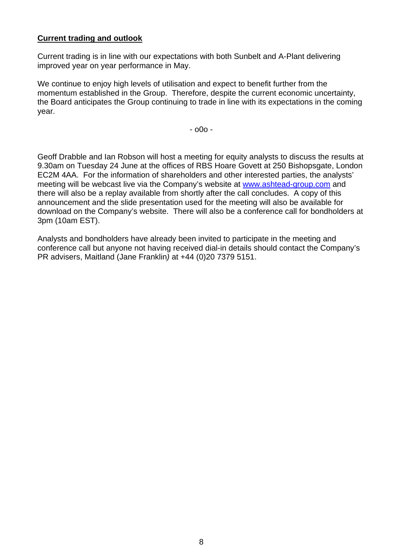# **Current trading and outlook**

Current trading is in line with our expectations with both Sunbelt and A-Plant delivering improved year on year performance in May.

We continue to enjoy high levels of utilisation and expect to benefit further from the momentum established in the Group. Therefore, despite the current economic uncertainty, the Board anticipates the Group continuing to trade in line with its expectations in the coming year.

- o0o -

Geoff Drabble and Ian Robson will host a meeting for equity analysts to discuss the results at 9.30am on Tuesday 24 June at the offices of RBS Hoare Govett at 250 Bishopsgate, London EC2M 4AA. For the information of shareholders and other interested parties, the analysts' meeting will be webcast live via the Company's website at [www.ashtead-group.com](http://www.ashtead-group.com/) and there will also be a replay available from shortly after the call concludes. A copy of this announcement and the slide presentation used for the meeting will also be available for download on the Company's website. There will also be a conference call for bondholders at 3pm (10am EST).

Analysts and bondholders have already been invited to participate in the meeting and conference call but anyone not having received dial-in details should contact the Company's PR advisers, Maitland (Jane Franklin*)* at +44 (0)20 7379 5151.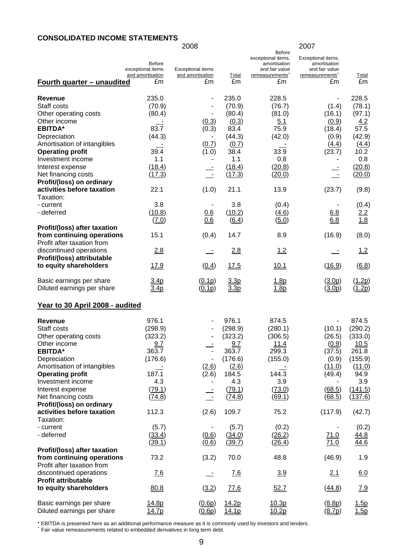### **CONSOLIDATED INCOME STATEMENTS**

|                                                                                                                                                                                                                                                                                        |                                                                                            | 2008                                                                       |                                                                                                          |                                                                                                            | 2007                                                                                      |                                                                                                         |
|----------------------------------------------------------------------------------------------------------------------------------------------------------------------------------------------------------------------------------------------------------------------------------------|--------------------------------------------------------------------------------------------|----------------------------------------------------------------------------|----------------------------------------------------------------------------------------------------------|------------------------------------------------------------------------------------------------------------|-------------------------------------------------------------------------------------------|---------------------------------------------------------------------------------------------------------|
| <u>Fourth quarter – unaudited</u>                                                                                                                                                                                                                                                      | <b>Before</b><br>exceptional items<br>and amortisation<br>£m                               | <b>Exceptional items</b><br>and amortisation<br>£m                         | <b>Total</b><br>£m                                                                                       | <b>Before</b><br>exceptional items,<br>amortisation<br>and fair value<br>remeasurements <sup>+</sup><br>£m | Exceptional items,<br>amortisation<br>and fair value<br>remeasurements <sup>+</sup><br>£m | <b>Total</b><br>£m                                                                                      |
| Revenue<br>Staff costs<br>Other operating costs<br>Other income<br><b>EBITDA*</b><br>Depreciation<br>Amortisation of intangibles<br><b>Operating profit</b><br>Investment income<br>Interest expense<br>Net financing costs<br>Profit/(loss) on ordinary<br>activities before taxation | 235.0<br>(70.9)<br>(80.4)<br>83.7<br>(44.3)<br>39.4<br>1.1<br>(18.4)<br>(17.3)<br>22.1     | -<br>(0.3)<br>(0.3)<br>(0.7)<br>(1.0)<br>$\overline{\phantom{a}}$<br>(1.0) | 235.0<br>(70.9)<br>(80.4)<br>(0.3)<br>83.4<br>(44.3)<br>(0.7)<br>38.4<br>1.1<br>(18.4)<br>(17.3)<br>21.1 | 228.5<br>(76.7)<br>(81.0)<br>5.1<br>75.9<br>(42.0)<br>33.9<br>0.8<br>(20.8)<br>(20.0)<br>13.9              | (1.4)<br>(16.1)<br>(0.9)<br>(18.4)<br>(0.9)<br>(4.4)<br>(23.7)<br>$\equiv$<br>(23.7)      | 228.5<br>(78.1)<br>(97.1)<br>4.2<br>57.5<br>(42.9)<br>(4.4)<br>10.2<br>0.8<br>(20.8)<br>(20.0)<br>(9.8) |
| Taxation:                                                                                                                                                                                                                                                                              |                                                                                            |                                                                            |                                                                                                          |                                                                                                            |                                                                                           |                                                                                                         |
| - current<br>- deferred                                                                                                                                                                                                                                                                | 3.8<br>(10.8)<br>(7.0)                                                                     | 0.6<br>0.6                                                                 | 3.8<br>(10.2)<br>(6.4)                                                                                   | (0.4)<br>(4.6)<br>(5.0)                                                                                    | 6.8<br>6.8                                                                                | (0.4)<br>$\frac{2.2}{1.8}$                                                                              |
| Profit/(loss) after taxation<br>from continuing operations<br>Profit after taxation from                                                                                                                                                                                               | 15.1                                                                                       | (0.4)                                                                      | 14.7                                                                                                     | 8.9                                                                                                        | (16.9)                                                                                    | (8.0)                                                                                                   |
| discontinued operations<br>Profit/(loss) attributable                                                                                                                                                                                                                                  | 2.8                                                                                        |                                                                            | 2.8                                                                                                      | 1.2                                                                                                        |                                                                                           | 1.2                                                                                                     |
| to equity shareholders                                                                                                                                                                                                                                                                 | 17.9                                                                                       | (0.4)                                                                      | 17.5                                                                                                     | 10.1                                                                                                       | (16.9)                                                                                    | $\underline{(6.8)}$                                                                                     |
| Basic earnings per share<br>Diluted earnings per share                                                                                                                                                                                                                                 | 3.4 <sub>p</sub><br>3.4p                                                                   | (0.1p)<br>(0.1p)                                                           | 3.3p<br>3.3p                                                                                             | <u>1.8p</u><br>1.8p                                                                                        | (3.0p)<br>(3.0p)                                                                          | (1.2p)<br>( <u>1.2p</u> )                                                                               |
| Year to 30 April 2008 - audited                                                                                                                                                                                                                                                        |                                                                                            |                                                                            |                                                                                                          |                                                                                                            |                                                                                           |                                                                                                         |
| Revenue<br>Staff costs<br>Other operating costs<br>Other income<br><b>EBITDA*</b><br>Depreciation<br>Amortisation of intangibles<br><b>Operating profit</b><br>Investment income<br>Interest expense<br>Net financing costs<br>Profit/(loss) on ordinary                               | 976.1<br>(298.9)<br>(323.2)<br>9.7<br>363.7<br>(176.6)<br>187.1<br>4.3<br>(79.1)<br>(74.8) | $\qquad \qquad \blacksquare$<br>(2.6)<br>(2.6)<br>$\overline{\phantom{a}}$ | 976.1<br>(298.9)<br>(323.2)<br>9.7<br>363.7<br>(176.6)<br>(2.6)<br>184.5<br>4.3<br>(79.1)<br>(74.8)      | 874.5<br>(280.1)<br>(306.5)<br>11.4<br>299.3<br>(155.0)<br>144.3<br>3.9<br>(73.0)<br>(69.1)                | (10.1)<br>(26.5)<br>(0.9)<br>(37.5)<br>(0.9)<br>(11.0)<br>(49.4)<br>(68.5)<br>(68.5)      | 874.5<br>(290.2)<br>(333.0)<br>10.5<br>261.8<br>(155.9)<br>(11.0)<br>94.9<br>3.9<br>(141.5)<br>(137.6)  |
| activities before taxation<br>Taxation:                                                                                                                                                                                                                                                | 112.3                                                                                      | (2.6)                                                                      | 109.7                                                                                                    | 75.2                                                                                                       | (117.9)                                                                                   | (42.7)                                                                                                  |
| - current<br>- deferred                                                                                                                                                                                                                                                                | (5.7)<br>(33.4)<br>(39.1)                                                                  | (0.6)<br>(0.6)                                                             | (5.7)<br>(34.0)<br>(39.7)                                                                                | (0.2)<br>(26.2)<br>(26.4)                                                                                  | <u>71.0</u><br>71.0                                                                       | (0.2)<br>44.8<br>44.6                                                                                   |
| Profit/(loss) after taxation<br>from continuing operations                                                                                                                                                                                                                             | 73.2                                                                                       | (3.2)                                                                      | 70.0                                                                                                     | 48.8                                                                                                       | (46.9)                                                                                    | 1.9                                                                                                     |
| Profit after taxation from<br>discontinued operations<br><b>Profit attributable</b>                                                                                                                                                                                                    | 7.6                                                                                        | $\equiv$                                                                   | 7.6                                                                                                      | 3.9                                                                                                        | 2.1                                                                                       | 6.0                                                                                                     |
| to equity shareholders                                                                                                                                                                                                                                                                 | 80.8                                                                                       | (3.2)                                                                      | 77.6                                                                                                     | 52.7                                                                                                       | (44.8)                                                                                    | 7.9                                                                                                     |
| Basic earnings per share<br>Diluted earnings per share                                                                                                                                                                                                                                 | 14.8p<br><u>14.7p</u>                                                                      | (0.6p)<br>(0.6p)                                                           | 14.2p<br>14.1 <sub>p</sub>                                                                               | 10.3p<br>10.2 <sub>p</sub>                                                                                 | (8.8p)<br>(8.7p)                                                                          | 1.5p<br>1.5p                                                                                            |

\* EBITDA is presented here as an additional performance measure as it is commonly used by investors and lenders.<br><sup>+</sup> Fair value remeasurements related to embedded derivatives in long term debt.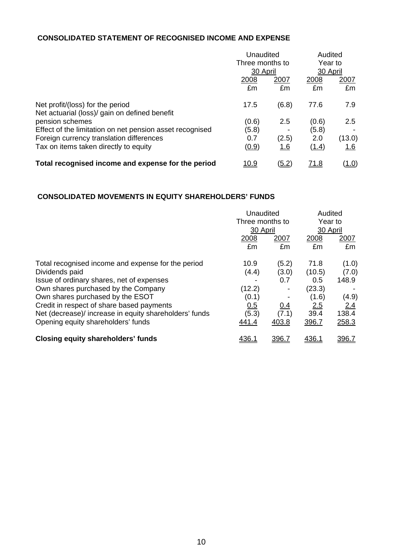## **CONSOLIDATED STATEMENT OF RECOGNISED INCOME AND EXPENSE**

|                                                          | Unaudited       |              | Audited             |              |
|----------------------------------------------------------|-----------------|--------------|---------------------|--------------|
|                                                          | Three months to |              | Year to<br>30 April |              |
|                                                          | 30 April        |              |                     |              |
|                                                          | 2008            | 2007         | 2008                | <u>2007</u>  |
|                                                          | £m              | £m           | £m                  | £m           |
| Net profit/(loss) for the period                         | 17.5            | (6.8)        | 77.6                | 7.9          |
| Net actuarial (loss)/ gain on defined benefit            |                 |              |                     |              |
| pension schemes                                          | (0.6)           | 2.5          | (0.6)               | 2.5          |
| Effect of the limitation on net pension asset recognised | (5.8)           |              | (5.8)               |              |
| Foreign currency translation differences                 | 0.7             | (2.5)        | 2.0                 | (13.0)       |
| Tax on items taken directly to equity                    | (0.9)           | <u>1.6</u>   | (1.4)               | <u> 1.6</u>  |
| Total recognised income and expense for the period       | <u> 10.9</u>    | <u>(5.2)</u> | <u>71.8</u>         | <u>(1.0)</u> |

### **CONSOLIDATED MOVEMENTS IN EQUITY SHAREHOLDERS' FUNDS**

|                                                        | Unaudited       |            | Audited             |       |
|--------------------------------------------------------|-----------------|------------|---------------------|-------|
|                                                        | Three months to |            | Year to<br>30 April |       |
|                                                        | 30 April        |            |                     |       |
|                                                        | 2008            | 2007       | 2008                | 2007  |
|                                                        | £m              | £m         | £m                  | £m    |
| Total recognised income and expense for the period     | 10.9            | (5.2)      | 71.8                | (1.0) |
| Dividends paid                                         | (4.4)           | (3.0)      | (10.5)              | (7.0) |
| Issue of ordinary shares, net of expenses              |                 | 0.7        | 0.5                 | 148.9 |
| Own shares purchased by the Company                    | (12.2)          |            | (23.3)              |       |
| Own shares purchased by the ESOT                       | (0.1)           |            | (1.6)               | (4.9) |
| Credit in respect of share based payments              | 0.5             | <u>0.4</u> | 2.5                 | 2.4   |
| Net (decrease)/ increase in equity shareholders' funds | (5.3)           | (7.1)      | 39.4                | 138.4 |
| Opening equity shareholders' funds                     | 441.4           | 403.8      | 396.7               | 258.3 |
| <b>Closing equity shareholders' funds</b>              | 436.1           | 396.7      | 436.1               | 396.7 |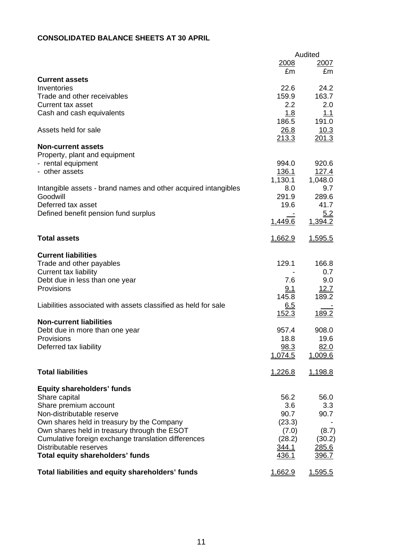# **CONSOLIDATED BALANCE SHEETS AT 30 APRIL**

|                                                                                            |                | Audited        |
|--------------------------------------------------------------------------------------------|----------------|----------------|
|                                                                                            | 2008           | 2007           |
|                                                                                            | £m             | £m             |
| <b>Current assets</b>                                                                      |                |                |
| Inventories                                                                                | 22.6           | 24.2           |
| Trade and other receivables                                                                | 159.9          | 163.7          |
| <b>Current tax asset</b>                                                                   | 2.2            | 2.0            |
| Cash and cash equivalents                                                                  | 1.8            | 1.1            |
|                                                                                            | 186.5          | 191.0          |
| Assets held for sale                                                                       | 26.8           | 10.3           |
|                                                                                            | 213.3          | 201.3          |
| <b>Non-current assets</b>                                                                  |                |                |
| Property, plant and equipment                                                              |                |                |
| - rental equipment                                                                         | 994.0          | 920.6          |
| - other assets                                                                             | 136.1          | 127.4          |
|                                                                                            | 1,130.1        | 1,048.0        |
| Intangible assets - brand names and other acquired intangibles                             | 8.0            | 9.7            |
| Goodwill                                                                                   | 291.9          | 289.6          |
| Deferred tax asset                                                                         | 19.6           | 41.7           |
| Defined benefit pension fund surplus                                                       |                | 5.2            |
|                                                                                            | 1,449.6        | 1,394.2        |
|                                                                                            |                |                |
| <b>Total assets</b>                                                                        | <u>1,662.9</u> | 1,595.5        |
|                                                                                            |                |                |
| <b>Current liabilities</b>                                                                 |                |                |
| Trade and other payables                                                                   | 129.1          | 166.8          |
| <b>Current tax liability</b>                                                               |                | 0.7            |
| Debt due in less than one year                                                             | 7.6            | 9.0            |
| Provisions                                                                                 | 9.1            | 12.7           |
|                                                                                            | 145.8          | 189.2          |
| Liabilities associated with assets classified as held for sale                             | 6.5            |                |
|                                                                                            | 152.3          | 189.2          |
| <b>Non-current liabilities</b>                                                             |                |                |
| Debt due in more than one year                                                             | 957.4          | 908.0          |
| Provisions                                                                                 | 18.8           | 19.6           |
| Deferred tax liability                                                                     | <u>98.3</u>    | 82.0           |
|                                                                                            | 1,074.5        | 1,009.6        |
|                                                                                            |                |                |
| <b>Total liabilities</b>                                                                   | 1,226.8        | <u>1,198.8</u> |
|                                                                                            |                |                |
| <b>Equity shareholders' funds</b>                                                          | 56.2           |                |
| Share capital                                                                              |                | 56.0           |
| Share premium account                                                                      | 3.6            | 3.3            |
| Non-distributable reserve                                                                  | 90.7           | 90.7           |
| Own shares held in treasury by the Company<br>Own shares held in treasury through the ESOT | (23.3)         |                |
|                                                                                            | (7.0)          | (8.7)          |
| Cumulative foreign exchange translation differences                                        | (28.2)         | (30.2)         |
| Distributable reserves                                                                     | 344.1          | <u>285.6</u>   |
| <b>Total equity shareholders' funds</b>                                                    | 436.1          | 396.7          |
| Total liabilities and equity shareholders' funds                                           | 1,662.9        | <u>1,595.5</u> |
|                                                                                            |                |                |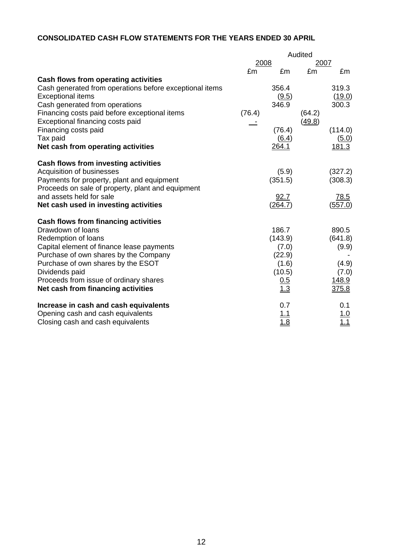# **CONSOLIDATED CASH FLOW STATEMENTS FOR THE YEARS ENDED 30 APRIL**

|                                                                                                                                                                                                                                                                                                                       | Audited |                                                                             |        |                                                               |
|-----------------------------------------------------------------------------------------------------------------------------------------------------------------------------------------------------------------------------------------------------------------------------------------------------------------------|---------|-----------------------------------------------------------------------------|--------|---------------------------------------------------------------|
|                                                                                                                                                                                                                                                                                                                       | 2008    |                                                                             | 2007   |                                                               |
|                                                                                                                                                                                                                                                                                                                       | £m      | £m                                                                          | £m     | £m                                                            |
| Cash flows from operating activities<br>Cash generated from operations before exceptional items<br><b>Exceptional items</b><br>Cash generated from operations<br>Financing costs paid before exceptional items                                                                                                        | (76.4)  | 356.4<br>(9.5)<br>346.9                                                     | (64.2) | 319.3<br>(19.0)<br>300.3                                      |
| Exceptional financing costs paid<br>Financing costs paid<br>Tax paid<br>Net cash from operating activities                                                                                                                                                                                                            |         | (76.4)<br>(6.4)<br>264.1                                                    | (49.8) | (114.0)<br>(5.0)<br>181.3                                     |
| Cash flows from investing activities<br>Acquisition of businesses<br>Payments for property, plant and equipment<br>Proceeds on sale of property, plant and equipment                                                                                                                                                  |         | (5.9)<br>(351.5)                                                            |        | (327.2)<br>(308.3)                                            |
| and assets held for sale<br>Net cash used in investing activities                                                                                                                                                                                                                                                     |         | 92.7<br>(264.7)                                                             |        | 78.5<br>(557.0)                                               |
| <b>Cash flows from financing activities</b><br>Drawdown of loans<br>Redemption of loans<br>Capital element of finance lease payments<br>Purchase of own shares by the Company<br>Purchase of own shares by the ESOT<br>Dividends paid<br>Proceeds from issue of ordinary shares<br>Net cash from financing activities |         | 186.7<br>(143.9)<br>(7.0)<br>(22.9)<br>(1.6)<br>(10.5)<br><u>0.5</u><br>1.3 |        | 890.5<br>(641.8)<br>(9.9)<br>(4.9)<br>(7.0)<br>148.9<br>375.8 |
| Increase in cash and cash equivalents<br>Opening cash and cash equivalents<br>Closing cash and cash equivalents                                                                                                                                                                                                       |         | 0.7<br><u> 1.1</u><br>1.8                                                   |        | 0.1<br><u>1.0</u><br>1.1                                      |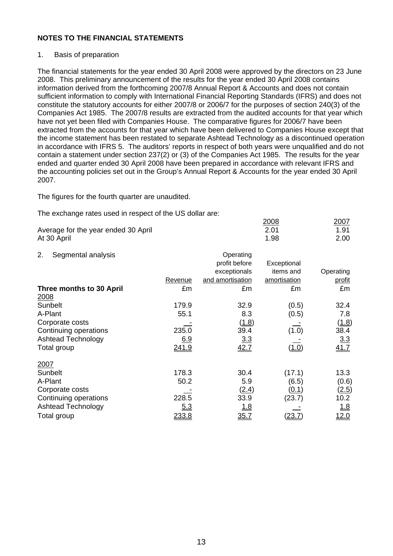### 1. Basis of preparation

The financial statements for the year ended 30 April 2008 were approved by the directors on 23 June 2008. This preliminary announcement of the results for the year ended 30 April 2008 contains information derived from the forthcoming 2007/8 Annual Report & Accounts and does not contain sufficient information to comply with International Financial Reporting Standards (IFRS) and does not constitute the statutory accounts for either 2007/8 or 2006/7 for the purposes of section 240(3) of the Companies Act 1985. The 2007/8 results are extracted from the audited accounts for that year which have not yet been filed with Companies House. The comparative figures for 2006/7 have been extracted from the accounts for that year which have been delivered to Companies House except that the income statement has been restated to separate Ashtead Technology as a discontinued operation in accordance with IFRS 5. The auditors' reports in respect of both years were unqualified and do not contain a statement under section 237(2) or (3) of the Companies Act 1985. The results for the year ended and quarter ended 30 April 2008 have been prepared in accordance with relevant IFRS and the accounting policies set out in the Group's Annual Report & Accounts for the year ended 30 April 2007.

The figures for the fourth quarter are unaudited.

The exchange rates used in respect of the US dollar are:

|                                     | 2008 | 2007 |
|-------------------------------------|------|------|
| Average for the year ended 30 April | 2.01 | 1.91 |
| At 30 April                         | 1.98 | 2.00 |

| 2.<br>Segmental analysis  |            | Operating        |              |               |
|---------------------------|------------|------------------|--------------|---------------|
|                           |            | profit before    | Exceptional  |               |
|                           |            | exceptionals     | items and    | Operating     |
|                           | Revenue    | and amortisation | amortisation | <u>profit</u> |
| Three months to 30 April  | £m         | £m               | £m           | £m            |
| 2008                      |            |                  |              |               |
| Sunbelt                   | 179.9      | 32.9             | (0.5)        | 32.4          |
| A-Plant                   | 55.1       | 8.3              | (0.5)        | 7.8           |
| Corporate costs           |            | (1.8)            |              | (1.8)         |
| Continuing operations     | 235.0      | 39.4             | (1.0)        | 38.4          |
| <b>Ashtead Technology</b> | <u>6.9</u> | 3.3              |              | 3.3           |
| Total group               | 241.9      | 42.7             | (1.0)        | 41.7          |
| 2007                      |            |                  |              |               |
| Sunbelt                   | 178.3      | 30.4             | (17.1)       | 13.3          |
| A-Plant                   | 50.2       | 5.9              | (6.5)        | (0.6)         |
| Corporate costs           |            | (2.4)            | (0.1)        | (2.5)         |
| Continuing operations     | 228.5      | 33.9             | (23.7)       | 10.2          |
| <b>Ashtead Technology</b> | 5.3        | <u>1.8</u>       |              | 1.8           |
| Total group               | 233.8      | 35.7             | (23.7)       | 12.0          |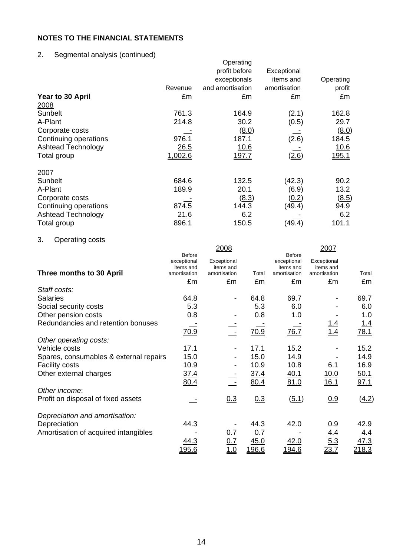# 2. Segmental analysis (continued)

|                           |             | Operating        |              |               |
|---------------------------|-------------|------------------|--------------|---------------|
|                           |             | profit before    | Exceptional  |               |
|                           |             | exceptionals     | items and    | Operating     |
|                           | Revenue     | and amortisation | amortisation | <u>profit</u> |
| Year to 30 April          | £m          | £m               | £m           | £m            |
| 2008                      |             |                  |              |               |
| Sunbelt                   | 761.3       | 164.9            | (2.1)        | 162.8         |
| A-Plant                   | 214.8       | 30.2             | (0.5)        | 29.7          |
| Corporate costs           |             | (8.0)            |              | (8.0)         |
| Continuing operations     | 976.1       | 187.1            | (2.6)        | 184.5         |
| <b>Ashtead Technology</b> | 26.5        | <u>10.6</u>      |              | 10.6          |
| Total group               | 1,002.6     | <u>197.7</u>     | (2.6)        | <u>195.1</u>  |
| 2007                      |             |                  |              |               |
| Sunbelt                   | 684.6       | 132.5            | (42.3)       | 90.2          |
| A-Plant                   | 189.9       | 20.1             | (6.9)        | 13.2          |
| Corporate costs           |             | (8.3)            | (0.2)        | (8.5)         |
| Continuing operations     | 874.5       | 144.3            | (49.4)       | 94.9          |
| Ashtead Technology        | <u>21.6</u> | 6.2              |              | 6.2           |
| Total group               | 896.1       | <u> 150.5</u>    | <u>49.4</u>  | <u> 101. </u> |

# 3. Operating costs

|                                        |                           | 2008                      |              |                           | 2007                      |            |
|----------------------------------------|---------------------------|---------------------------|--------------|---------------------------|---------------------------|------------|
|                                        | <b>Before</b>             |                           |              | <b>Before</b>             |                           |            |
|                                        | exceptional               | Exceptional               |              | exceptional               | Exceptional               |            |
| Three months to 30 April               | items and<br>amortisation | items and<br>amortisation | Total        | items and<br>amortisation | items and<br>amortisation | Total      |
|                                        | £m                        | £m                        | £m           | £m                        | £m                        | £m         |
| Staff costs:                           |                           |                           |              |                           |                           |            |
| <b>Salaries</b>                        | 64.8                      |                           | 64.8         | 69.7                      |                           | 69.7       |
| Social security costs                  | 5.3                       |                           | 5.3          | 6.0                       |                           | 6.0        |
| Other pension costs                    | 0.8                       |                           | 0.8          | 1.0                       |                           | 1.0        |
| Redundancies and retention bonuses     |                           |                           |              |                           |                           | <u>1.4</u> |
|                                        | 70.9                      |                           | 70.9         | 76.7                      | $\frac{1.4}{1.4}$         | 78.1       |
| Other operating costs:                 |                           |                           |              |                           |                           |            |
| Vehicle costs                          | 17.1                      |                           | 17.1         | 15.2                      |                           | 15.2       |
| Spares, consumables & external repairs | 15.0                      |                           | 15.0         | 14.9                      |                           | 14.9       |
| <b>Facility costs</b>                  | 10.9                      |                           | 10.9         | 10.8                      | 6.1                       | 16.9       |
| Other external charges                 | <u>37.4</u>               |                           | <u>37.4</u>  | <u>40.1</u>               | <u>10.0</u>               | 50.1       |
|                                        | 80.4                      |                           | 80.4         | 81.0                      | 16.1                      | 97.1       |
| Other income:                          |                           |                           |              |                           |                           |            |
| Profit on disposal of fixed assets     |                           | 0.3                       | 0.3          | (5.1)                     | 0.9                       | (4.2)      |
| Depreciation and amortisation:         |                           |                           |              |                           |                           |            |
| Depreciation                           | 44.3                      |                           | 44.3         | 42.0                      | 0.9                       | 42.9       |
| Amortisation of acquired intangibles   |                           | <u>0.7</u>                | <u>0.7</u>   |                           |                           | <u>4.4</u> |
|                                        | <u>44.3</u>               | 0.7                       | 45.0         | 42.0                      | $\frac{4.4}{5.3}$         | 17.3       |
|                                        | 195.6                     | 1.0                       | <u>196.6</u> | 194.6                     | 23.7                      | 218.3      |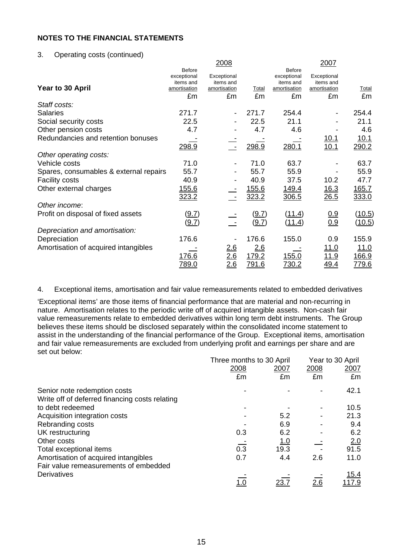#### 3. Operating costs (continued)

|                                        |                                                                 | 2008                                           |                       |                                                                 | 2007                                           |                      |
|----------------------------------------|-----------------------------------------------------------------|------------------------------------------------|-----------------------|-----------------------------------------------------------------|------------------------------------------------|----------------------|
| Year to 30 April                       | <b>Before</b><br>exceptional<br>items and<br>amortisation<br>£m | Exceptional<br>items and<br>amortisation<br>£m | Total<br>£m           | <b>Before</b><br>exceptional<br>items and<br>amortisation<br>£m | Exceptional<br>items and<br>amortisation<br>£m | Total<br>£m          |
| Staff costs:                           |                                                                 |                                                |                       |                                                                 |                                                |                      |
| <b>Salaries</b>                        | 271.7                                                           |                                                | 271.7                 | 254.4                                                           |                                                | 254.4                |
| Social security costs                  | 22.5                                                            |                                                | 22.5                  | 21.1                                                            |                                                | 21.1                 |
| Other pension costs                    | 4.7                                                             |                                                | 4.7                   | 4.6                                                             |                                                | 4.6                  |
| Redundancies and retention bonuses     | 298.9                                                           |                                                | 298.9                 | 280.1                                                           | <u> 10.1</u><br>10.1                           | <u>10.1</u><br>290.2 |
| Other operating costs:                 |                                                                 |                                                |                       |                                                                 |                                                |                      |
| Vehicle costs                          | 71.0                                                            |                                                | 71.0                  | 63.7                                                            |                                                | 63.7                 |
| Spares, consumables & external repairs | 55.7                                                            |                                                | 55.7                  | 55.9                                                            |                                                | 55.9                 |
| <b>Facility costs</b>                  | 40.9                                                            |                                                | 40.9                  | 37.5                                                            | 10.2                                           | 47.7                 |
| Other external charges                 | <u>155.6</u><br>323.2                                           |                                                | 155.6<br>323.2        | <u>149.4</u><br>306.5                                           | <u>16.3</u><br>26.5                            | 165.7<br>333.0       |
| Other income:                          |                                                                 |                                                |                       |                                                                 |                                                |                      |
| Profit on disposal of fixed assets     | (9.7)<br>(9.7)                                                  |                                                | <u>(9.7)</u><br>(9.7) | (11.4)<br>(11.4)                                                | 0.9<br>0.9                                     | (10.5)<br>(10.5)     |
| Depreciation and amortisation:         |                                                                 |                                                |                       |                                                                 |                                                |                      |
| Depreciation                           | 176.6                                                           |                                                | 176.6                 | 155.0                                                           | 0.9                                            | 155.9                |
| Amortisation of acquired intangibles   |                                                                 | <u>2.6</u>                                     | 2.6                   |                                                                 | <u> 11.0</u>                                   | <u>11.0</u>          |
|                                        | 176.6                                                           | 2.6                                            | 179.2                 | 155.0                                                           | <u> 11.9</u>                                   | 166.9                |
|                                        | <u>789.0</u>                                                    | <u> 2.6</u>                                    | 791.6                 | <u>730.2</u>                                                    | 49.4                                           | <u>779.6</u>         |

4. Exceptional items, amortisation and fair value remeasurements related to embedded derivatives

'Exceptional items' are those items of financial performance that are material and non-recurring in nature. Amortisation relates to the periodic write off of acquired intangible assets. Non-cash fair value remeasurements relate to embedded derivatives within long term debt instruments. The Group believes these items should be disclosed separately within the consolidated income statement to assist in the understanding of the financial performance of the Group.Exceptional items, amortisation and fair value remeasurements are excluded from underlying profit and earnings per share and are set out below:

|                                                | Three months to 30 April |            | Year to 30 April |       |  |
|------------------------------------------------|--------------------------|------------|------------------|-------|--|
|                                                | 2008                     | 2007       | 2008             | 2007  |  |
|                                                | £m                       | £m         | £m               | £m    |  |
| Senior note redemption costs                   |                          |            |                  | 42.1  |  |
| Write off of deferred financing costs relating |                          |            |                  |       |  |
| to debt redeemed                               |                          |            |                  | 10.5  |  |
| Acquisition integration costs                  |                          | 5.2        |                  | 21.3  |  |
| Rebranding costs                               |                          | 6.9        |                  | 9.4   |  |
| UK restructuring                               | 0.3                      | 6.2        |                  | 6.2   |  |
| Other costs                                    |                          | <u>1.0</u> |                  | 2.0   |  |
| Total exceptional items                        | 0.3                      | 19.3       |                  | 91.5  |  |
| Amortisation of acquired intangibles           | 0.7                      | 4.4        | 2.6              | 11.0  |  |
| Fair value remeasurements of embedded          |                          |            |                  |       |  |
| Derivatives                                    |                          |            |                  | 15.4  |  |
|                                                |                          | 23.7       | 2.6              | 117.9 |  |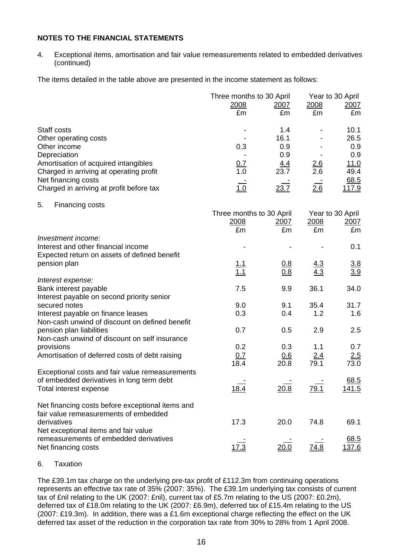4. Exceptional items, amortisation and fair value remeasurements related to embedded derivatives (continued)

The items detailed in the table above are presented in the income statement as follows:

|                                                                                      | Three months to 30 April | Year to 30 April   |                   |                   |
|--------------------------------------------------------------------------------------|--------------------------|--------------------|-------------------|-------------------|
|                                                                                      | <u>2008</u>              | <u>2007</u>        | 2008              | <u>2007</u>       |
|                                                                                      | £m                       | £m                 | £m                | £m                |
| Staff costs                                                                          |                          | 1.4                |                   | 10.1              |
| Other operating costs                                                                |                          | 16.1               |                   | 26.5              |
| Other income                                                                         | 0.3                      | 0.9                |                   | 0.9               |
| Depreciation                                                                         |                          | 0.9                |                   | 0.9               |
| Amortisation of acquired intangibles                                                 | 0.7<br>$\overline{1}$ .0 | <u>4.4</u><br>23.7 | $\frac{2.6}{2.6}$ | 11.0<br>49.4      |
| Charged in arriving at operating profit<br>Net financing costs                       |                          |                    |                   | 68.5              |
| Charged in arriving at profit before tax                                             | 1.0                      | 23.7               | 26                | 117.9             |
| 5.<br>Financing costs                                                                |                          |                    |                   |                   |
|                                                                                      | Three months to 30 April |                    |                   | Year to 30 April  |
|                                                                                      | 2008                     | <u>2007</u>        | 2008              | 2007              |
|                                                                                      | £m                       | £m                 | £m                | £m                |
| Investment income:                                                                   |                          |                    |                   |                   |
| Interest and other financial income<br>Expected return on assets of defined benefit  |                          |                    |                   | 0.1               |
| pension plan                                                                         |                          | <u>0.8</u>         |                   |                   |
|                                                                                      | $\frac{1.1}{1.1}$        | 0.8                | $\frac{4.3}{4.3}$ | $\frac{3.8}{3.9}$ |
| Interest expense:                                                                    |                          |                    |                   |                   |
| Bank interest payable                                                                | 7.5                      | 9.9                | 36.1              | 34.0              |
| Interest payable on second priority senior                                           |                          |                    |                   |                   |
| secured notes                                                                        | 9.0<br>0.3               | 9.1<br>0.4         | 35.4<br>1.2       | 31.7<br>1.6       |
| Interest payable on finance leases<br>Non-cash unwind of discount on defined benefit |                          |                    |                   |                   |
| pension plan liabilities                                                             | 0.7                      | 0.5                | 2.9               | 2.5               |
| Non-cash unwind of discount on self insurance                                        |                          |                    |                   |                   |
| provisions                                                                           | 0.2                      | 0.3                | 1.1               | 0.7               |
| Amortisation of deferred costs of debt raising                                       | 0.7                      | <u>0.6</u>         | <u>2.4</u>        | 2.5               |
|                                                                                      | 18.4                     | 20.8               | 79.1              | 73.0              |
| Exceptional costs and fair value remeasurements                                      |                          |                    |                   |                   |
| of embedded derivatives in long term debt                                            |                          |                    |                   | 68.5              |
| Total interest expense                                                               | 18.4                     | 20.8               | <u>79.1</u>       | <u>141.5</u>      |
| Net financing costs before exceptional items and                                     |                          |                    |                   |                   |
| fair value remeasurements of embedded                                                |                          |                    |                   |                   |
| derivatives                                                                          | 17.3                     | 20.0               | 74.8              | 69.1              |
| Net exceptional items and fair value                                                 |                          |                    |                   |                   |
| remeasurements of embedded derivatives                                               |                          |                    |                   | 68.5              |
| Net financing costs                                                                  | 17.3                     | 20.0               | 74.8              | <u> 137.6</u>     |

#### 6. Taxation

The £39.1m tax charge on the underlying pre-tax profit of £112.3m from continuing operations represents an effective tax rate of 35% (2007: 35%). The £39.1m underlying tax consists of current tax of £nil relating to the UK (2007: £nil), current tax of £5.7m relating to the US (2007: £0.2m), deferred tax of £18.0m relating to the UK (2007: £6.9m), deferred tax of £15.4m relating to the US (2007: £19.3m). In addition, there was a £1.6m exceptional charge reflecting the effect on the UK deferred tax asset of the reduction in the corporation tax rate from 30% to 28% from 1 April 2008.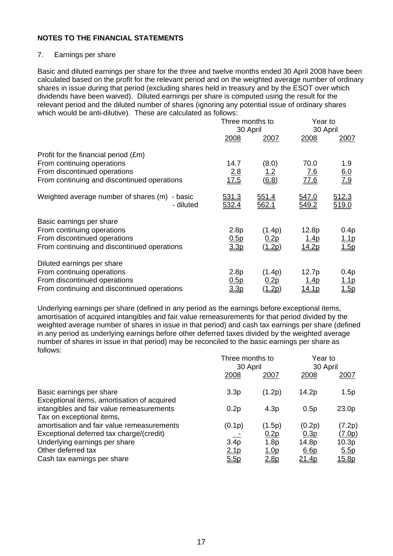#### 7. Earnings per share

Basic and diluted earnings per share for the three and twelve months ended 30 April 2008 have been calculated based on the profit for the relevant period and on the weighted average number of ordinary shares in issue during that period (excluding shares held in treasury and by the ESOT over which dividends have been waived). Diluted earnings per share is computed using the result for the relevant period and the diluted number of shares (ignoring any potential issue of ordinary shares which would be anti-dilutive). These are calculated as follows:

|                                                                                                                                                   | Three months to<br>30 April  |                                             | Year to<br>30 April                   |                              |
|---------------------------------------------------------------------------------------------------------------------------------------------------|------------------------------|---------------------------------------------|---------------------------------------|------------------------------|
|                                                                                                                                                   | 2008                         | 2007                                        | 2008                                  | <u>2007</u>                  |
| Profit for the financial period (£m)<br>From continuing operations<br>From discontinued operations<br>From continuing and discontinued operations | 14.7<br>2.8<br>17.5          | (8.0)<br><u> 1.2</u><br>$\underline{(6.8)}$ | 70.0<br>7.6<br>77.6                   | 1.9<br>$\frac{6.0}{7.9}$     |
| Weighted average number of shares (m) - basic<br>- diluted                                                                                        | <u>531.3</u><br><u>532.4</u> | <u>551.4</u><br><u>562.1</u>                | 547.0<br><u>549.2</u>                 | <u>512.3</u><br><u>519.0</u> |
| Basic earnings per share<br>From continuing operations<br>From discontinued operations<br>From continuing and discontinued operations             | 2.8p<br>0.5p<br>3.3p         | (1.4p)<br>0.2p<br>(1.2p)                    | 12.8p<br><u>1.4p</u><br>14.2p         | 0.4p<br><u>1.1p</u><br>1.5p  |
| Diluted earnings per share<br>From continuing operations<br>From discontinued operations<br>From continuing and discontinued operations           | 2.8p<br>0.5p<br>3.3p         | (1.4p)<br><u>0.2p</u><br>( <u>1.2p</u> )    | 12.7p<br><u>1.4p</u><br><u> 14.1p</u> | 0.4p<br><u> 1.1p</u><br>1.5p |

Underlying earnings per share (defined in any period as the earnings before exceptional items, amortisation of acquired intangibles and fair value remeasurements for that period divided by the weighted average number of shares in issue in that period) and cash tax earnings per share (defined in any period as underlying earnings before other deferred taxes divided by the weighted average number of shares in issue in that period) may be reconciled to the basic earnings per share as follows:

|                                                                                                                                               | Three months to<br>30 April         |                                       | Year to<br>30 April                         |                                          |
|-----------------------------------------------------------------------------------------------------------------------------------------------|-------------------------------------|---------------------------------------|---------------------------------------------|------------------------------------------|
|                                                                                                                                               | 2008                                | 2007                                  | 2008                                        | <u> 2007</u>                             |
| Basic earnings per share                                                                                                                      | 3.3p                                | (1.2p)                                | 14.2p                                       | 1.5p                                     |
| Exceptional items, amortisation of acquired<br>intangibles and fair value remeasurements<br>Tax on exceptional items,                         | 0.2p                                | 4.3 <sub>p</sub>                      | 0.5p                                        | 23.0p                                    |
| amortisation and fair value remeasurements<br>Exceptional deferred tax charge/(credit)<br>Underlying earnings per share<br>Other deferred tax | (0.1p)<br>$3.\overline{4p}$<br>2.1p | (1.5p)<br>0.2p<br>1.8p<br><u>1.0p</u> | (0.2p)<br>0.3p<br>14.8p<br>6.6 <sub>p</sub> | (7.2p)<br><u>(7.0p)</u><br>10.3p<br>5.5p |
| Cash tax earnings per share                                                                                                                   | 5.5p                                | 2.8 <sub>D</sub>                      | <u>21.4p</u>                                | <u>15.8p</u>                             |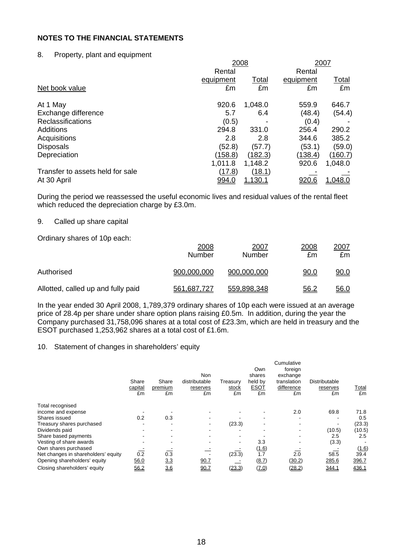### 8. Property, plant and equipment

|                                  | 2008         |                | 2007         |              |  |
|----------------------------------|--------------|----------------|--------------|--------------|--|
|                                  | Rental       |                | Rental       |              |  |
|                                  | equipment    | Total          | equipment    | <u>Total</u> |  |
| Net book value                   | £m           | £m             | £m           | £m           |  |
| At 1 May                         | 920.6        | 1,048.0        | 559.9        | 646.7        |  |
| Exchange difference              | 5.7          | 6.4            | (48.4)       | (54.4)       |  |
| <b>Reclassifications</b>         | (0.5)        |                | (0.4)        |              |  |
| <b>Additions</b>                 | 294.8        | 331.0          | 256.4        | 290.2        |  |
| Acquisitions                     | 2.8          | 2.8            | 344.6        | 385.2        |  |
| <b>Disposals</b>                 | (52.8)       | (57.7)         | (53.1)       | (59.0)       |  |
| Depreciation                     | (158.8)      | (182.3)        | (138.4)      | (160.7)      |  |
|                                  | 1,011.8      | 1,148.2        | 920.6        | 1,048.0      |  |
| Transfer to assets held for sale | (17.8)       | (18.1)         |              |              |  |
| At 30 April                      | <u>994.0</u> | <u>1,130.1</u> | <u>920.6</u> | 1,048.0      |  |

During the period we reassessed the useful economic lives and residual values of the rental fleet which reduced the depreciation charge by £3.0m.

### 9. Called up share capital

Ordinary shares of 10p each:

|                                    | 2008<br>Number | 2007<br>Number | 2008<br>£m  | <u>2007</u><br>£m |
|------------------------------------|----------------|----------------|-------------|-------------------|
| Authorised                         | 900,000,000    | 900,000,000    | 90.0        | 0.09              |
| Allotted, called up and fully paid | 561,687,727    | 559,898,348    | <u>56.2</u> | 56.0              |

In the year ended 30 April 2008, 1,789,379 ordinary shares of 10p each were issued at an average price of 28.4p per share under share option plans raising £0.5m. In addition, during the year the Company purchased 31,758,096 shares at a total cost of £23.3m, which are held in treasury and the ESOT purchased 1,253,962 shares at a total cost of £1.6m.

#### 10. Statement of changes in shareholders' equity

|                                     | Share<br>capital<br>£m | Share<br>premium<br>£m   | Non<br>distributable<br>reserves<br>£m | Treasury<br>stock<br>£m | Own<br>shares<br>held by<br><b>ESOT</b><br>£m | Cumulative<br>foreign<br>exchange<br>translation<br>difference<br>£m | Distributable<br>reserves<br>£m | Total<br>£m |
|-------------------------------------|------------------------|--------------------------|----------------------------------------|-------------------------|-----------------------------------------------|----------------------------------------------------------------------|---------------------------------|-------------|
| Total recognised                    |                        |                          |                                        |                         |                                               |                                                                      |                                 |             |
| income and expense                  |                        |                          |                                        |                         |                                               | 2.0                                                                  | 69.8                            | 71.8        |
| Shares issued                       | 0.2                    | 0.3                      |                                        |                         |                                               |                                                                      |                                 | 0.5         |
| Treasury shares purchased           |                        | $\overline{\phantom{a}}$ |                                        | (23.3)                  | $\overline{\phantom{0}}$                      | -                                                                    |                                 | (23.3)      |
| Dividends paid                      |                        |                          |                                        |                         |                                               |                                                                      | (10.5)                          | (10.5)      |
| Share based payments                |                        | $\blacksquare$           |                                        |                         |                                               |                                                                      | 2.5                             | 2.5         |
| Vesting of share awards             |                        |                          |                                        |                         | 3.3                                           |                                                                      | (3.3)                           |             |
| Own shares purchased                |                        |                          |                                        |                         | <u>(1.6)</u>                                  |                                                                      |                                 | (1.6)       |
| Net changes in shareholders' equity | 0.2                    | 0.3                      |                                        | (23.3)                  | 1.7                                           | 2.0                                                                  | 58.5                            | 39.4        |
| Opening shareholders' equity        | 56.0                   | <u>3.3</u>               | 90.7                                   |                         | (8.7)                                         | (30.2)                                                               | 285.6                           | 396.7       |
| Closing shareholders' equity        | 56.2                   | 3.6                      | 90.7                                   | <u>(23.3)</u>           | <u>(7.0)</u>                                  | (28.2)                                                               | 344.1                           | 436.1       |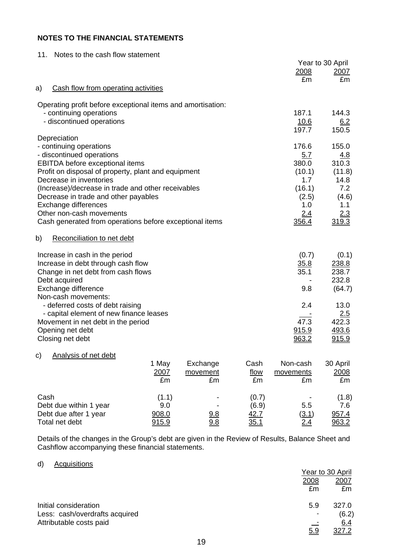| 11.<br>Notes to the cash flow statement                      |              |                          |
|--------------------------------------------------------------|--------------|--------------------------|
|                                                              | 2008         | Year to 30 April<br>2007 |
|                                                              | £m           | £m                       |
| Cash flow from operating activities<br>a)                    |              |                          |
| Operating profit before exceptional items and amortisation:  |              |                          |
| - continuing operations                                      | 187.1        | 144.3                    |
| - discontinued operations                                    | 10.6         | 6.2                      |
|                                                              | 197.7        | 150.5                    |
| Depreciation                                                 |              |                          |
| - continuing operations                                      | 176.6        | 155.0                    |
| - discontinued operations<br>EBITDA before exceptional items | 5.7<br>380.0 | 4.8<br>310.3             |
| Profit on disposal of property, plant and equipment          | (10.1)       | (11.8)                   |
| Decrease in inventories                                      | 1.7          | 14.8                     |
| (Increase)/decrease in trade and other receivables           | (16.1)       | 7.2                      |
| Decrease in trade and other payables                         | (2.5)        | (4.6)                    |
| Exchange differences                                         | 1.0          | 1.1                      |
| Other non-cash movements                                     | 2.4          | 2.3                      |
| Cash generated from operations before exceptional items      | 356.4        | 319.3                    |
| b)<br>Reconciliation to net debt                             |              |                          |
| Increase in cash in the period                               | (0.7)        | (0.1)                    |
| Increase in debt through cash flow                           | 35.8         | 238.8                    |
| Change in net debt from cash flows                           | 35.1         | 238.7                    |
| Debt acquired                                                |              | 232.8                    |
| Exchange difference                                          | 9.8          | (64.7)                   |
| Non-cash movements:                                          |              |                          |
| - deferred costs of debt raising                             | 2.4          | 13.0                     |
| - capital element of new finance leases                      | 47.3         | 2.5<br>422.3             |
| Movement in net debt in the period<br>Opening net debt       | 915.9        | 493.6                    |
| Closing net debt                                             | 963.2        | 915.9                    |
| Analysis of net debt<br>C)                                   |              |                          |

|                        | 1 May<br>2007<br>£m | Exchange<br>movement<br>£m | Cash<br>flow<br>£m | Non-cash<br>movements<br>£m | 30 April<br>2008<br>£m |
|------------------------|---------------------|----------------------------|--------------------|-----------------------------|------------------------|
| Cash                   | (1.1)               | $\overline{\phantom{0}}$   | (0.7)              |                             | (1.8)                  |
| Debt due within 1 year | 9.0                 |                            | (6.9)              | 5.5                         | 7.6                    |
| Debt due after 1 year  | 908.0               | 9.8                        | 42.7               | <u>(3.1)</u>                | 957.4                  |
| Total net debt         | <u>915.9</u>        | 9.8                        | <u>35.1</u>        | <u>2.4</u>                  | 963.2                  |

Details of the changes in the Group's debt are given in the Review of Results, Balance Sheet and Cashflow accompanying these financial statements.

### d) Acquisitions

|                                |             | Year to 30 April |  |
|--------------------------------|-------------|------------------|--|
|                                | <u>2008</u> | <u>2007</u>      |  |
|                                | £m          | £m               |  |
| Initial consideration          | 5.9         | 327.0            |  |
| Less: cash/overdrafts acquired |             | (6.2)            |  |
| Attributable costs paid        |             | <u>6.4</u>       |  |
|                                | <u>5.9</u>  | 327.2            |  |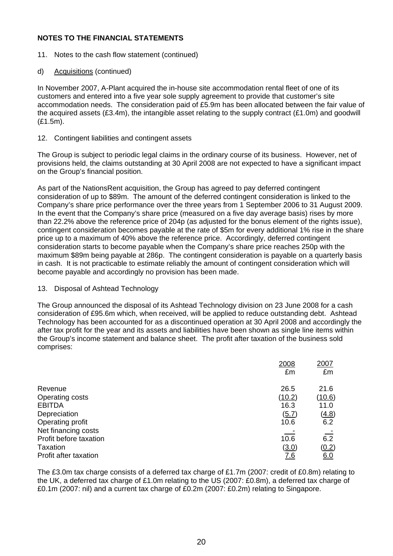- 11. Notes to the cash flow statement (continued)
- d) Acquisitions (continued)

In November 2007, A-Plant acquired the in-house site accommodation rental fleet of one of its customers and entered into a five year sole supply agreement to provide that customer's site accommodation needs. The consideration paid of £5.9m has been allocated between the fair value of the acquired assets  $(E3.4m)$ , the intangible asset relating to the supply contract  $(E1.0m)$  and goodwill (£1.5m).

#### 12. Contingent liabilities and contingent assets

The Group is subject to periodic legal claims in the ordinary course of its business. However, net of provisions held, the claims outstanding at 30 April 2008 are not expected to have a significant impact on the Group's financial position.

As part of the NationsRent acquisition, the Group has agreed to pay deferred contingent consideration of up to \$89m. The amount of the deferred contingent consideration is linked to the Company's share price performance over the three years from 1 September 2006 to 31 August 2009. In the event that the Company's share price (measured on a five day average basis) rises by more than 22.2% above the reference price of 204p (as adjusted for the bonus element of the rights issue), contingent consideration becomes payable at the rate of \$5m for every additional 1% rise in the share price up to a maximum of 40% above the reference price. Accordingly, deferred contingent consideration starts to become payable when the Company's share price reaches 250p with the maximum \$89m being payable at 286p. The contingent consideration is payable on a quarterly basis in cash. It is not practicable to estimate reliably the amount of contingent consideration which will become payable and accordingly no provision has been made.

#### 13. Disposal of Ashtead Technology

The Group announced the disposal of its Ashtead Technology division on 23 June 2008 for a cash consideration of £95.6m which, when received, will be applied to reduce outstanding debt. Ashtead Technology has been accounted for as a discontinued operation at 30 April 2008 and accordingly the after tax profit for the year and its assets and liabilities have been shown as single line items within the Group's income statement and balance sheet. The profit after taxation of the business sold comprises:

|                        | 2008       | 2007          |
|------------------------|------------|---------------|
|                        | £m         | £m            |
| Revenue                | 26.5       | 21.6          |
| Operating costs        | (10.2)     | <u>(10.6)</u> |
| <b>EBITDA</b>          | 16.3       | 11.0          |
| Depreciation           | (5.7)      | <u>(4.8)</u>  |
| Operating profit       | 10.6       | 6.2           |
| Net financing costs    |            |               |
| Profit before taxation | 10.6       | 6.2           |
| Taxation               | (3.0)      | (0.2)         |
| Profit after taxation  | <u>7.6</u> | <u>6.0</u>    |

The £3.0m tax charge consists of a deferred tax charge of £1.7m (2007: credit of £0.8m) relating to the UK, a deferred tax charge of £1.0m relating to the US (2007: £0.8m), a deferred tax charge of £0.1m (2007: nil) and a current tax charge of £0.2m (2007: £0.2m) relating to Singapore.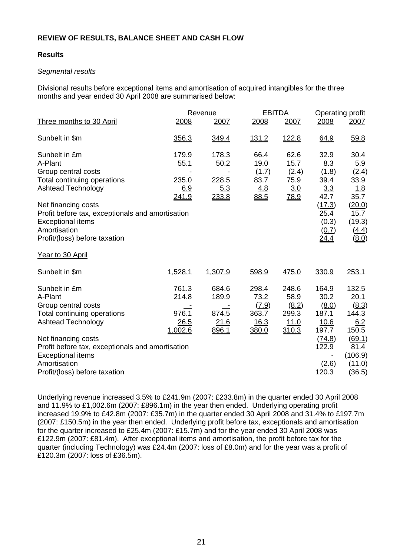### **Results**

### *Segmental results*

Divisional results before exceptional items and amortisation of acquired intangibles for the three months and year ended 30 April 2008 are summarised below:

|                                                                                                                                                                                                                                                                     | Revenue                                    |                                          | <b>EBITDA</b>                                    |                                                  | Operating profit                                                                        |                                                                                                                |
|---------------------------------------------------------------------------------------------------------------------------------------------------------------------------------------------------------------------------------------------------------------------|--------------------------------------------|------------------------------------------|--------------------------------------------------|--------------------------------------------------|-----------------------------------------------------------------------------------------|----------------------------------------------------------------------------------------------------------------|
| Three months to 30 April                                                                                                                                                                                                                                            | 2008                                       | 2007                                     | 2008                                             | 2007                                             | 2008                                                                                    | 2007                                                                                                           |
| Sunbelt in \$m                                                                                                                                                                                                                                                      | 356.3                                      | <u>349.4</u>                             | <u>131.2</u>                                     | <u>122.8</u>                                     | 64.9                                                                                    | 59.8                                                                                                           |
| Sunbelt in £m<br>A-Plant<br>Group central costs<br>Total continuing operations<br><b>Ashtead Technology</b><br>Net financing costs<br>Profit before tax, exceptionals and amortisation<br><b>Exceptional items</b><br>Amortisation<br>Profit/(loss) before taxation | 179.9<br>55.1<br>235.0<br>6.9<br>241.9     | 178.3<br>50.2<br>228.5<br>5.3<br>233.8   | 66.4<br>19.0<br>(1.7)<br>83.7<br>4.8<br>88.5     | 62.6<br>15.7<br>(2.4)<br>75.9<br>3.0<br>78.9     | 32.9<br>8.3<br>(1.8)<br>39.4<br>3.3<br>42.7<br>(17.3)<br>25.4<br>(0.3)<br>(0.7)<br>24.4 | 30.4<br>5.9<br>(2.4)<br>33.9<br>1.8<br>35.7<br>(20.0)<br>15.7<br>(19.3)<br><u>(4.4)</u><br>$\underline{(8.0)}$ |
| Year to 30 April                                                                                                                                                                                                                                                    |                                            |                                          |                                                  |                                                  |                                                                                         |                                                                                                                |
| Sunbelt in \$m                                                                                                                                                                                                                                                      | 1,528.1                                    | 1,307.9                                  | 598.9                                            | 475.0                                            | 330.9                                                                                   | 253.1                                                                                                          |
| Sunbelt in £m<br>A-Plant<br>Group central costs<br>Total continuing operations<br><b>Ashtead Technology</b><br>Net financing costs                                                                                                                                  | 761.3<br>214.8<br>976.1<br>26.5<br>1,002.6 | 684.6<br>189.9<br>874.5<br>21.6<br>896.1 | 298.4<br>73.2<br>(7.9)<br>363.7<br>16.3<br>380.0 | 248.6<br>58.9<br>(8.2)<br>299.3<br>11.0<br>310.3 | 164.9<br>30.2<br>(8.0)<br>187.1<br>10.6<br>197.7<br>(74.8)                              | 132.5<br>20.1<br>(8.3)<br>144.3<br>6.2<br>150.5<br>(69.1)                                                      |
| Profit before tax, exceptionals and amortisation<br><b>Exceptional items</b><br>Amortisation<br>Profit/(loss) before taxation                                                                                                                                       |                                            |                                          |                                                  |                                                  | 122.9<br>(2.6)<br>120.3                                                                 | 81.4<br>(106.9)<br>(11.0)<br>(36.5)                                                                            |

Underlying revenue increased 3.5% to £241.9m (2007: £233.8m) in the quarter ended 30 April 2008 and 11.9% to £1,002.6m (2007: £896.1m) in the year then ended. Underlying operating profit increased 19.9% to £42.8m (2007: £35.7m) in the quarter ended 30 April 2008 and 31.4% to £197.7m (2007: £150.5m) in the year then ended. Underlying profit before tax, exceptionals and amortisation for the quarter increased to £25.4m (2007: £15.7m) and for the year ended 30 April 2008 was £122.9m (2007: £81.4m). After exceptional items and amortisation, the profit before tax for the quarter (including Technology) was £24.4m (2007: loss of £8.0m) and for the year was a profit of £120.3m (2007: loss of £36.5m).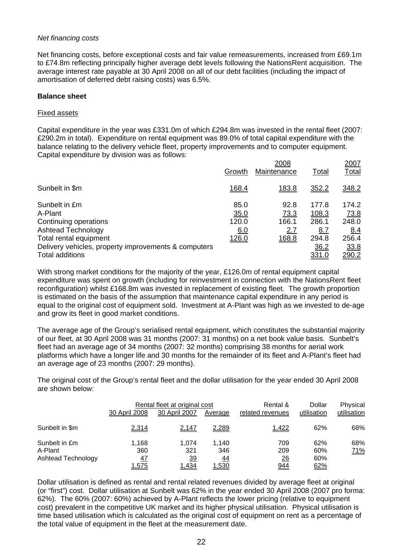#### *Net financing costs*

Net financing costs, before exceptional costs and fair value remeasurements, increased from £69.1m to £74.8m reflecting principally higher average debt levels following the NationsRent acquisition. The average interest rate payable at 30 April 2008 on all of our debt facilities (including the impact of amortisation of deferred debt raising costs) was 6.5%.

#### **Balance sheet**

#### Fixed assets

Capital expenditure in the year was £331.0m of which £294.8m was invested in the rental fleet (2007: £290.2m in total). Expenditure on rental equipment was 89.0% of total capital expenditure with the balance relating to the delivery vehicle fleet, property improvements and to computer equipment. Capital expenditure by division was as follows:

|                                                                                                                                                                                     | Growth                                | 2008<br>Maintenance                   | Total                                                           | 2007<br>Total                                                  |
|-------------------------------------------------------------------------------------------------------------------------------------------------------------------------------------|---------------------------------------|---------------------------------------|-----------------------------------------------------------------|----------------------------------------------------------------|
| Sunbelt in \$m                                                                                                                                                                      | <u>168.4</u>                          | 183.8                                 | 352.2                                                           | 348.2                                                          |
| Sunbelt in £m<br>A-Plant<br>Continuing operations<br>Ashtead Technology<br>Total rental equipment<br>Delivery vehicles, property improvements & computers<br><b>Total additions</b> | 85.0<br>35.0<br>120.0<br>6.0<br>126.0 | 92.8<br>73.3<br>166.1<br>2.7<br>168.8 | 177.8<br>108.3<br>286.1<br><u>8.7</u><br>294.8<br>36.2<br>331.0 | 174.2<br>73.8<br>248.0<br>8.4<br>256.4<br>33.8<br><u>290.2</u> |

With strong market conditions for the majority of the year, £126.0m of rental equipment capital expenditure was spent on growth (including for reinvestment in connection with the NationsRent fleet reconfiguration) whilst £168.8m was invested in replacement of existing fleet. The growth proportion is estimated on the basis of the assumption that maintenance capital expenditure in any period is equal to the original cost of equipment sold. Investment at A-Plant was high as we invested to de-age and grow its fleet in good market conditions.

The average age of the Group's serialised rental equipment, which constitutes the substantial majority of our fleet, at 30 April 2008 was 31 months (2007: 31 months) on a net book value basis. Sunbelt's fleet had an average age of 34 months (2007: 32 months) comprising 38 months for aerial work platforms which have a longer life and 30 months for the remainder of its fleet and A-Plant's fleet had an average age of 23 months (2007: 29 months).

The original cost of the Group's rental fleet and the dollar utilisation for the year ended 30 April 2008 are shown below:

|                                                | Rental fleet at original cost |                                    |                             | Rental &                            | Dollar                   | Physical    |
|------------------------------------------------|-------------------------------|------------------------------------|-----------------------------|-------------------------------------|--------------------------|-------------|
|                                                | 30 April 2008                 | 30 April 2007                      | Average                     | related revenues                    | utilisation              | utilisation |
| Sunbelt in \$m                                 | 2,314                         | 2,147                              | 2,289                       | 1,422                               | 62%                      | 68%         |
| Sunbelt in £m<br>A-Plant<br>Ashtead Technology | 1.168<br>360<br>47<br>1,575   | 1.074<br>321<br><u>39</u><br>1,434 | 1.140<br>346<br>44<br>1,530 | 709<br>209<br>$\frac{26}{5}$<br>944 | 62%<br>60%<br>60%<br>62% | 68%<br>71%  |

Dollar utilisation is defined as rental and rental related revenues divided by average fleet at original (or "first") cost. Dollar utilisation at Sunbelt was 62% in the year ended 30 April 2008 (2007 pro forma: 62%). The 60% (2007: 60%) achieved by A-Plant reflects the lower pricing (relative to equipment cost) prevalent in the competitive UK market and its higher physical utilisation. Physical utilisation is time based utilisation which is calculated as the original cost of equipment on rent as a percentage of the total value of equipment in the fleet at the measurement date.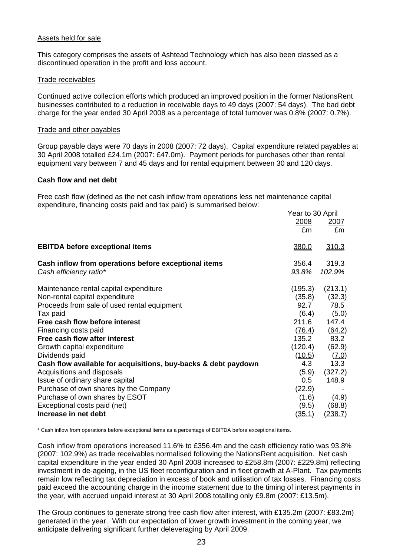#### Assets held for sale

This category comprises the assets of Ashtead Technology which has also been classed as a discontinued operation in the profit and loss account.

#### Trade receivables

Continued active collection efforts which produced an improved position in the former NationsRent businesses contributed to a reduction in receivable days to 49 days (2007: 54 days). The bad debt charge for the year ended 30 April 2008 as a percentage of total turnover was 0.8% (2007: 0.7%).

#### Trade and other payables

Group payable days were 70 days in 2008 (2007: 72 days). Capital expenditure related payables at 30 April 2008 totalled £24.1m (2007: £47.0m). Payment periods for purchases other than rental equipment vary between 7 and 45 days and for rental equipment between 30 and 120 days.

#### **Cash flow and net debt**

Free cash flow (defined as the net cash inflow from operations less net maintenance capital expenditure, financing costs paid and tax paid) is summarised below:

|                                                                | Year to 30 April |                |
|----------------------------------------------------------------|------------------|----------------|
|                                                                | 2008             | <u> 2007 </u>  |
|                                                                | £m               | £m             |
| <b>EBITDA before exceptional items</b>                         | 380.0            | <u>310.3</u>   |
| Cash inflow from operations before exceptional items           | 356.4            | 319.3          |
| Cash efficiency ratio*                                         | 93.8%            | 102.9%         |
| Maintenance rental capital expenditure                         | (195.3)          | (213.1)        |
| Non-rental capital expenditure                                 | (35.8)           | (32.3)         |
| Proceeds from sale of used rental equipment                    | 92.7             | 78.5           |
| Tax paid                                                       | (6.4)            | (5.0)          |
| Free cash flow before interest                                 | 211.6            | 147.4          |
| Financing costs paid                                           | (76.4)           | (64.2)         |
| Free cash flow after interest                                  | 135.2            | 83.2           |
| Growth capital expenditure                                     | (120.4)          | (62.9)         |
| Dividends paid                                                 | (10.5)           | (7.0)          |
| Cash flow available for acquisitions, buy-backs & debt paydown | 4.3              | 13.3           |
| Acquisitions and disposals                                     | (5.9)            | (327.2)        |
| Issue of ordinary share capital                                | 0.5              | 148.9          |
| Purchase of own shares by the Company                          | (22.9)           |                |
| Purchase of own shares by ESOT                                 | (1.6)            | (4.9)          |
| Exceptional costs paid (net)                                   | (9.5)            | (68.8)         |
| Increase in net debt                                           | <u>(35.1)</u>    | <u>(238.7)</u> |

\* Cash inflow from operations before exceptional items as a percentage of EBITDA before exceptional items.

Cash inflow from operations increased 11.6% to £356.4m and the cash efficiency ratio was 93.8% (2007: 102.9%) as trade receivables normalised following the NationsRent acquisition. Net cash capital expenditure in the year ended 30 April 2008 increased to £258.8m (2007: £229.8m) reflecting investment in de-ageing, in the US fleet reconfiguration and in fleet growth at A-Plant. Tax payments remain low reflecting tax depreciation in excess of book and utilisation of tax losses. Financing costs paid exceed the accounting charge in the income statement due to the timing of interest payments in the year, with accrued unpaid interest at 30 April 2008 totalling only £9.8m (2007: £13.5m).

The Group continues to generate strong free cash flow after interest, with £135.2m (2007: £83.2m) generated in the year. With our expectation of lower growth investment in the coming year, we anticipate delivering significant further deleveraging by April 2009.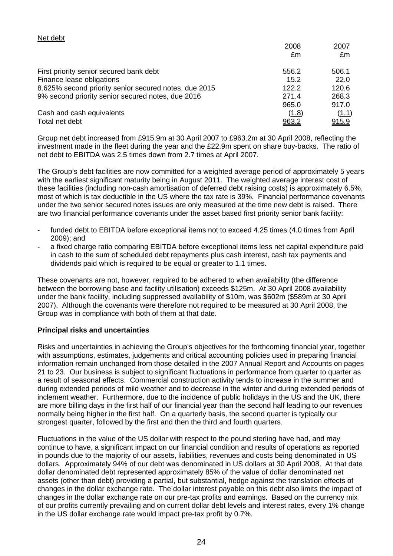| £m                                                             |       |
|----------------------------------------------------------------|-------|
| First priority senior secured bank debt<br>556.2               | 506.1 |
| Finance lease obligations<br>15.2                              | 22.0  |
| 8.625% second priority senior secured notes, due 2015<br>122.2 | 120.6 |
| 9% second priority senior secured notes, due 2016<br>271.4     | 268.3 |
| 965.0                                                          | 917.0 |
| Cash and cash equivalents<br>(1.8)                             | (1.1) |
| Total net debt<br><u>963.2</u>                                 | 915.9 |

Group net debt increased from £915.9m at 30 April 2007 to £963.2m at 30 April 2008, reflecting the investment made in the fleet during the year and the £22.9m spent on share buy-backs. The ratio of net debt to EBITDA was 2.5 times down from 2.7 times at April 2007.

The Group's debt facilities are now committed for a weighted average period of approximately 5 years with the earliest significant maturity being in August 2011. The weighted average interest cost of these facilities (including non-cash amortisation of deferred debt raising costs) is approximately 6.5%, most of which is tax deductible in the US where the tax rate is 39%. Financial performance covenants under the two senior secured notes issues are only measured at the time new debt is raised. There are two financial performance covenants under the asset based first priority senior bank facility:

- funded debt to EBITDA before exceptional items not to exceed 4.25 times (4.0 times from April 2009); and
- a fixed charge ratio comparing EBITDA before exceptional items less net capital expenditure paid in cash to the sum of scheduled debt repayments plus cash interest, cash tax payments and dividends paid which is required to be equal or greater to 1.1 times.

These covenants are not, however, required to be adhered to when availability (the difference between the borrowing base and facility utilisation) exceeds \$125m. At 30 April 2008 availability under the bank facility, including suppressed availability of \$10m, was \$602m (\$589m at 30 April 2007). Although the covenants were therefore not required to be measured at 30 April 2008, the Group was in compliance with both of them at that date.

#### **Principal risks and uncertainties**

Net debt

Risks and uncertainties in achieving the Group's objectives for the forthcoming financial year, together with assumptions, estimates, judgements and critical accounting policies used in preparing financial information remain unchanged from those detailed in the 2007 Annual Report and Accounts on pages 21 to 23. Our business is subject to significant fluctuations in performance from quarter to quarter as a result of seasonal effects. Commercial construction activity tends to increase in the summer and during extended periods of mild weather and to decrease in the winter and during extended periods of inclement weather. Furthermore, due to the incidence of public holidays in the US and the UK, there are more billing days in the first half of our financial year than the second half leading to our revenues normally being higher in the first half. On a quarterly basis, the second quarter is typically our strongest quarter, followed by the first and then the third and fourth quarters.

Fluctuations in the value of the US dollar with respect to the pound sterling have had, and may continue to have, a significant impact on our financial condition and results of operations as reported in pounds due to the majority of our assets, liabilities, revenues and costs being denominated in US dollars. Approximately 94% of our debt was denominated in US dollars at 30 April 2008. At that date dollar denominated debt represented approximately 85% of the value of dollar denominated net assets (other than debt) providing a partial, but substantial, hedge against the translation effects of changes in the dollar exchange rate. The dollar interest payable on this debt also limits the impact of changes in the dollar exchange rate on our pre-tax profits and earnings. Based on the currency mix of our profits currently prevailing and on current dollar debt levels and interest rates, every 1% change in the US dollar exchange rate would impact pre-tax profit by 0.7%.